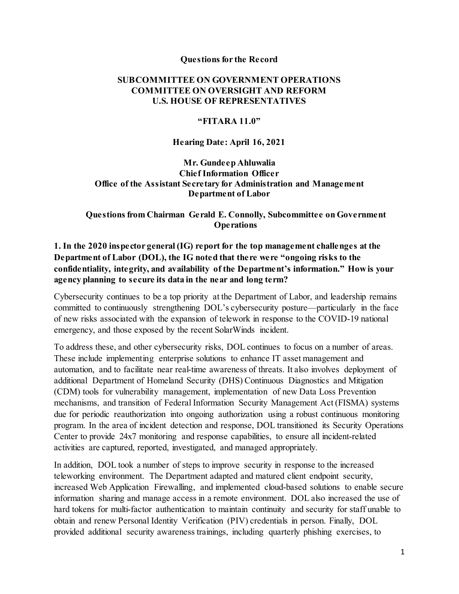#### **Questions for the Record**

### **SUBCOMMITTEE ON GOVERNMENT OPERATIONS COMMITTEE ON OVERSIGHT AND REFORM U.S. HOUSE OF REPRESENTATIVES**

#### **"FITARA 11.0"**

#### **Hearing Date: April 16, 2021**

**Mr. Gundeep Ahluwalia Chief Information Officer Office of the Assistant Secretary for Administration and Management Department of Labor**

#### **Questions from Chairman Gerald E. Connolly, Subcommittee on Government Operations**

## **1. In the 2020 inspector general (IG) report for the top management challenges at the Department of Labor (DOL), the IG noted that there were "ongoing risks to the confidentiality, integrity, and availability of the Department's information." How is your agency planning to secure its data in the near and long term?**

Cybersecurity continues to be a top priority at the Department of Labor, and leadership remains committed to continuously strengthening DOL's cybersecurity posture—particularly in the face of new risks associated with the expansion of telework in response to the COVID-19 national emergency, and those exposed by the recent SolarWinds incident.

To address these, and other cybersecurity risks, DOL continues to focus on a number of areas. These include implementing enterprise solutions to enhance IT asset management and automation, and to facilitate near real-time awareness of threats. It also involves deployment of additional Department of Homeland Security (DHS) Continuous Diagnostics and Mitigation (CDM) tools for vulnerability management, implementation of new Data Loss Prevention mechanisms, and transition of Federal Information Security Management Act (FISMA) systems due for periodic reauthorization into ongoing authorization using a robust continuous monitoring program. In the area of incident detection and response, DOL transitioned its Security Operations Center to provide 24x7 monitoring and response capabilities, to ensure all incident-related activities are captured, reported, investigated, and managed appropriately.

In addition, DOL took a number of steps to improve security in response to the increased teleworking environment. The Department adapted and matured client endpoint security, increased Web Application Firewalling, and implemented cloud-based solutions to enable secure information sharing and manage access in a remote environment. DOL also increased the use of hard tokens for multi-factor authentication to maintain continuity and security for staff unable to obtain and renew Personal Identity Verification (PIV) credentials in person. Finally, DOL provided additional security awareness trainings, including quarterly phishing exercises, to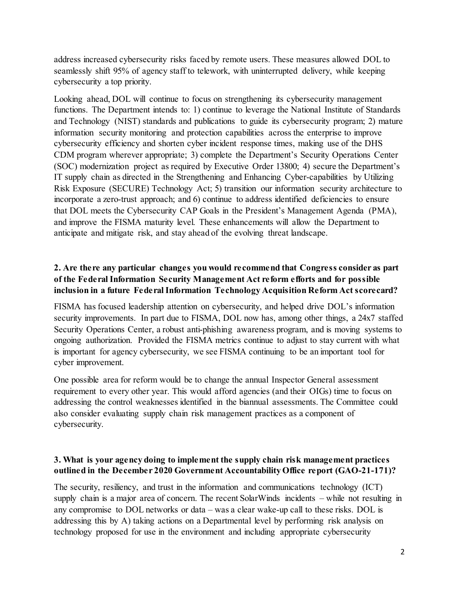address increased cybersecurity risks faced by remote users. These measures allowed DOL to seamlessly shift 95% of agency staff to telework, with uninterrupted delivery, while keeping cybersecurity a top priority.

Looking ahead, DOL will continue to focus on strengthening its cybersecurity management functions. The Department intends to: 1) continue to leverage the National Institute of Standards and Technology (NIST) standards and publications to guide its cybersecurity program; 2) mature information security monitoring and protection capabilities across the enterprise to improve cybersecurity efficiency and shorten cyber incident response times, making use of the DHS CDM program wherever appropriate; 3) complete the Department's Security Operations Center (SOC) modernization project as required by Executive Order 13800; 4) secure the Department's IT supply chain as directed in the Strengthening and Enhancing Cyber-capabilities by Utilizing Risk Exposure (SECURE) Technology Act; 5) transition our information security architecture to incorporate a zero-trust approach; and 6) continue to address identified deficiencies to ensure that DOL meets the Cybersecurity CAP Goals in the President's Management Agenda (PMA), and improve the FISMA maturity level. These enhancements will allow the Department to anticipate and mitigate risk, and stay ahead of the evolving threat landscape.

# **2. Are there any particular changes you would recommend that Congress consider as part of the Federal Information Security Management Act reform efforts and for possible inclusion in a future Federal Information Technology Acquisition Reform Act scorecard?**

FISMA has focused leadership attention on cybersecurity, and helped drive DOL's information security improvements. In part due to FISMA, DOL now has, among other things, a 24x7 staffed Security Operations Center, a robust anti-phishing awareness program, and is moving systems to ongoing authorization. Provided the FISMA metrics continue to adjust to stay current with what is important for agency cybersecurity, we see FISMA continuing to be an important tool for cyber improvement.

One possible area for reform would be to change the annual Inspector General assessment requirement to every other year. This would afford agencies (and their OIGs) time to focus on addressing the control weaknesses identified in the biannual assessments. The Committee could also consider evaluating supply chain risk management practices as a component of cybersecurity.

## **3. What is your agency doing to implement the supply chain risk management practices outlined in the December 2020 Government Accountability Office report (GAO-21-171)?**

The security, resiliency, and trust in the information and communications technology (ICT) supply chain is a major area of concern. The recent SolarWinds incidents – while not resulting in any compromise to DOL networks or data – was a clear wake-up call to these risks. DOL is addressing this by A) taking actions on a Departmental level by performing risk analysis on technology proposed for use in the environment and including appropriate cybersecurity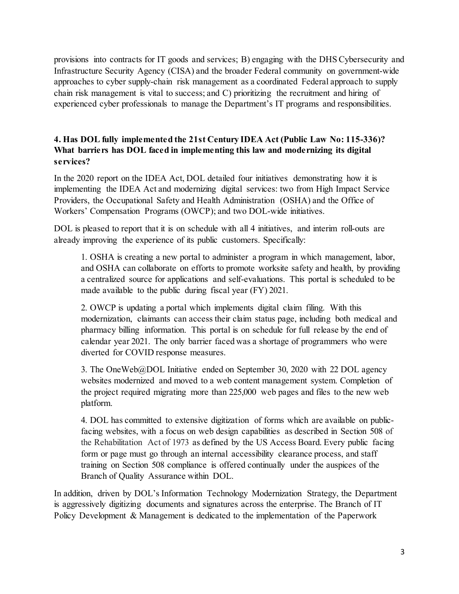provisions into contracts for IT goods and services; B) engaging with the DHS Cybersecurity and Infrastructure Security Agency (CISA) and the broader Federal community on government-wide approaches to cyber supply-chain risk management as a coordinated Federal approach to supply chain risk management is vital to success; and C) prioritizing the recruitment and hiring of experienced cyber professionals to manage the Department's IT programs and responsibilities.

## **4. Has DOL fully implemented the 21st Century IDEA Act (Public Law No: 115-336)? What barriers has DOL faced in implementing this law and modernizing its digital services?**

In the 2020 report on the IDEA Act, DOL detailed four initiatives demonstrating how it is implementing the IDEA Act and modernizing digital services: two from High Impact Service Providers, the Occupational Safety and Health Administration (OSHA) and the Office of Workers' Compensation Programs (OWCP); and two DOL-wide initiatives.

DOL is pleased to report that it is on schedule with all 4 initiatives, and interim roll-outs are already improving the experience of its public customers. Specifically:

1. OSHA is creating a new portal to administer a program in which management, labor, and OSHA can collaborate on efforts to promote worksite safety and health, by providing a centralized source for applications and self-evaluations. This portal is scheduled to be made available to the public during fiscal year (FY) 2021.

2. OWCP is updating a portal which implements digital claim filing. With this modernization, claimants can access their claim status page, including both medical and pharmacy billing information. This portal is on schedule for full release by the end of calendar year 2021. The only barrier faced was a shortage of programmers who were diverted for COVID response measures.

3. The OneWeb@DOL Initiative ended on September 30, 2020 with 22 DOL agency websites modernized and moved to a web content management system. Completion of the project required migrating more than 225,000 web pages and files to the new web platform.

4. DOL has committed to extensive digitization of forms which are available on publicfacing websites, with a focus on web design capabilities as described in Section 508 of the Rehabilitation Act of 1973 as defined by the US Access Board. Every public facing form or page must go through an internal accessibility clearance process, and staff training on Section 508 compliance is offered continually under the auspices of the Branch of Quality Assurance within DOL.

In addition, driven by DOL's Information Technology Modernization Strategy, the Department is aggressively digitizing documents and signatures across the enterprise. The Branch of IT Policy Development & Management is dedicated to the implementation of the Paperwork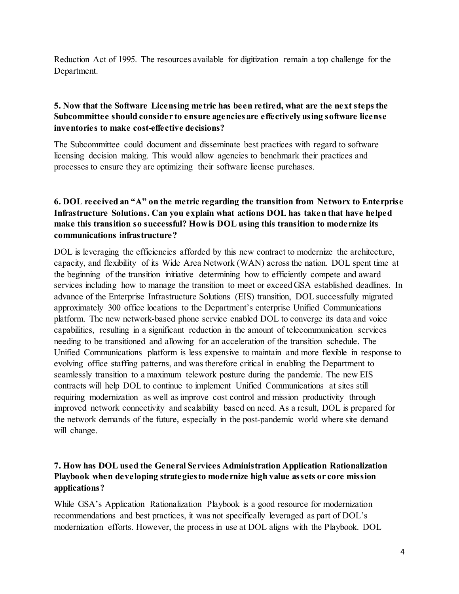Reduction Act of 1995. The resources available for digitization remain a top challenge for the Department.

## **5. Now that the Software Licensing metric has been retired, what are the next steps the Subcommittee should consider to ensure agencies are effectively using software license inventories to make cost-effective decisions?**

The Subcommittee could document and disseminate best practices with regard to software licensing decision making. This would allow agencies to benchmark their practices and processes to ensure they are optimizing their software license purchases.

## **6. DOL received an "A" on the metric regarding the transition from Networx to Enterprise Infrastructure Solutions. Can you explain what actions DOL has taken that have helped make this transition so successful? How is DOL using this transition to modernize its communications infrastructure?**

DOL is leveraging the efficiencies afforded by this new contract to modernize the architecture, capacity, and flexibility of its Wide Area Network (WAN) across the nation. DOL spent time at the beginning of the transition initiative determining how to efficiently compete and award services including how to manage the transition to meet or exceed GSA established deadlines. In advance of the Enterprise Infrastructure Solutions (EIS) transition, DOL successfully migrated approximately 300 office locations to the Department's enterprise Unified Communications platform. The new network-based phone service enabled DOL to converge its data and voice capabilities, resulting in a significant reduction in the amount of telecommunication services needing to be transitioned and allowing for an acceleration of the transition schedule. The Unified Communications platform is less expensive to maintain and more flexible in response to evolving office staffing patterns, and was therefore critical in enabling the Department to seamlessly transition to a maximum telework posture during the pandemic. The new EIS contracts will help DOL to continue to implement Unified Communications at sites still requiring modernization as well as improve cost control and mission productivity through improved network connectivity and scalability based on need. As a result, DOL is prepared for the network demands of the future, especially in the post-pandemic world where site demand will change.

## **7. How has DOL used the General Services Administration Application Rationalization Playbook when developing strategies to modernize high value assets or core mission applications?**

While GSA's Application Rationalization Playbook is a good resource for modernization recommendations and best practices, it was not specifically leveraged as part of DOL's modernization efforts. However, the process in use at DOL aligns with the Playbook. DOL